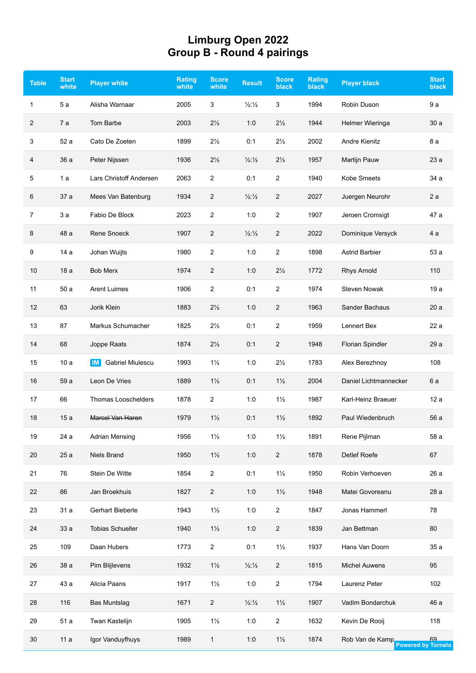## **Limburg Open 2022 Group B - Round 4 pairings**

| <b>Table</b> | <b>Start</b><br>white | <b>Player white</b>                       | <b>Rating</b><br>white | <b>Score</b><br>white | <b>Result</b>               | <b>Score</b><br>black | <b>Rating</b><br>black | <b>Player black</b>     | <b>Start</b><br>black           |
|--------------|-----------------------|-------------------------------------------|------------------------|-----------------------|-----------------------------|-----------------------|------------------------|-------------------------|---------------------------------|
| $\mathbf{1}$ | 5a                    | Alisha Warnaar                            | 2005                   | 3                     | $\frac{1}{2}\frac{1}{2}$    | 3                     | 1994                   | Robin Duson             | 9a                              |
| 2            | 7a                    | Tom Barbe                                 | 2003                   | $2\frac{1}{2}$        | 1:0                         | $2\frac{1}{2}$        | 1944                   | Helmer Wieringa         | 30a                             |
| 3            | 52 a                  | Cato De Zoeten                            | 1899                   | $2\frac{1}{2}$        | 0:1                         | $2\frac{1}{2}$        | 2002                   | Andre Kienitz           | 8 a                             |
| 4            | 36 a                  | Peter Nijssen                             | 1936                   | $2\frac{1}{2}$        | $\frac{1}{2}\frac{1}{2}$    | $2\frac{1}{2}$        | 1957                   | Martijn Pauw            | 23 a                            |
| 5            | 1a                    | Lars Christoff Andersen                   | 2063                   | 2                     | 0:1                         | $\overline{2}$        | 1940                   | Kobe Smeets             | 34 a                            |
| 6            | 37 a                  | Mees Van Batenburg                        | 1934                   | 2                     | $\frac{1}{2}\frac{1}{2}$    | $\overline{2}$        | 2027                   | Juergen Neurohr         | 2a                              |
| 7            | 3a                    | Fabio De Block                            | 2023                   | 2                     | 1:0                         | $\overline{2}$        | 1907                   | Jeroen Cromsigt         | 47 a                            |
| 8            | 48 a                  | Rene Snoeck                               | 1907                   | 2                     | 1/2:1/2                     | $\overline{2}$        | 2022                   | Dominique Versyck       | 4 a                             |
| 9            | 14 a                  | Johan Wuijts                              | 1980                   | 2                     | 1:0                         | $\overline{2}$        | 1898                   | <b>Astrid Barbier</b>   | 53 a                            |
| 10           | 18a                   | <b>Bob Merx</b>                           | 1974                   | 2                     | 1:0                         | $2\frac{1}{2}$        | 1772                   | <b>Rhys Arnold</b>      | 110                             |
| 11           | 50a                   | <b>Arent Luimes</b>                       | 1906                   | 2                     | 0:1                         | $\overline{2}$        | 1974                   | <b>Steven Nowak</b>     | 19a                             |
| 12           | 63                    | Jorik Klein                               | 1883                   | $2\frac{1}{2}$        | 1:0                         | $\overline{2}$        | 1963                   | Sander Bachaus          | 20a                             |
| 13           | 87                    | Markus Schumacher                         | 1825                   | $2\frac{1}{2}$        | 0:1                         | $\overline{2}$        | 1959                   | Lennert Bex             | 22 a                            |
| 14           | 68                    | Joppe Raats                               | 1874                   | $2\frac{1}{2}$        | 0:1                         | $\overline{2}$        | 1948                   | <b>Florian Spindler</b> | 29 a                            |
| 15           | 10a                   | <b>Gabriel Miulescu</b><br>$\blacksquare$ | 1993                   | $1\frac{1}{2}$        | 1:0                         | $2\frac{1}{2}$        | 1783                   | Alex Berezhnoy          | 108                             |
| 16           | 59 a                  | Leon De Vries                             | 1889                   | $1\frac{1}{2}$        | 0:1                         | $1\frac{1}{2}$        | 2004                   | Daniel Lichtmannecker   | 6 a                             |
| 17           | 66                    | <b>Thomas Looschelders</b>                | 1878                   | 2                     | 1:0                         | $1\frac{1}{2}$        | 1987                   | Karl-Heinz Braeuer      | 12a                             |
| 18           | 15a                   | Marcel Van Haren                          | 1979                   | $1\frac{1}{2}$        | 0:1                         | $1\frac{1}{2}$        | 1892                   | Paul Wiedenbruch        | 56 a                            |
| 19           | 24 a                  | <b>Adrian Mensing</b>                     | 1956                   | $1\frac{1}{2}$        | 1:0                         | $1\frac{1}{2}$        | 1891                   | Rene Pijlman            | 58 a                            |
| 20           | 25a                   | Niels Brand                               | 1950                   | $1\frac{1}{2}$        | 1:0                         | $\overline{2}$        | 1878                   | Detlef Roefe            | 67                              |
| 21           | 76                    | Stein De Witte                            | 1854                   | $\overline{c}$        | 0:1                         | $1\frac{1}{2}$        | 1950                   | Robin Verhoeven         | 26 a                            |
| 22           | 86                    | Jan Broekhuis                             | 1827                   | 2                     | 1:0                         | $1\frac{1}{2}$        | 1948                   | Matei Govoreanu         | 28 a                            |
| 23           | 31 a                  | Gerhart Bieberle                          | 1943                   | $1\frac{1}{2}$        | 1:0                         | $\overline{c}$        | 1847                   | Jonas Hammerl           | 78                              |
| 24           | 33a                   | <b>Tobias Schueller</b>                   | 1940                   | $1\frac{1}{2}$        | 1:0                         | $\overline{c}$        | 1839                   | Jan Bettman             | 80                              |
| 25           | 109                   | Daan Hubers                               | 1773                   | $\overline{2}$        | 0:1                         | $1\frac{1}{2}$        | 1937                   | Hans Van Doorn          | 35 a                            |
| 26           | 38 a                  | Pim Blijlevens                            | 1932                   | $1\frac{1}{2}$        | $\frac{1}{2}\frac{1}{2}$    | $\overline{2}$        | 1815                   | <b>Michel Auwens</b>    | 95                              |
| 27           | 43 a                  | Alicia Paans                              | 1917                   | $1\frac{1}{2}$        | 1:0                         | $\overline{c}$        | 1794                   | Laurenz Peter           | 102                             |
| 28           | 116                   | <b>Bas Muntslag</b>                       | 1671                   | $\overline{c}$        | $\frac{1}{2}$ $\frac{1}{2}$ | $1\frac{1}{2}$        | 1907                   | Vadim Bondarchuk        | 46 a                            |
| 29           | 51 a                  | Twan Kastelijn                            | 1905                   | $1\frac{1}{2}$        | 1:0                         | $\overline{c}$        | 1632                   | Kevin De Rooij          | 118                             |
| 30           | 11a                   | Igor Vanduyfhuys                          | 1989                   | 1                     | 1:0                         | $1\frac{1}{2}$        | 1874                   | Rob Van de Kamp         | 69<br><b>Powered by Tornelo</b> |